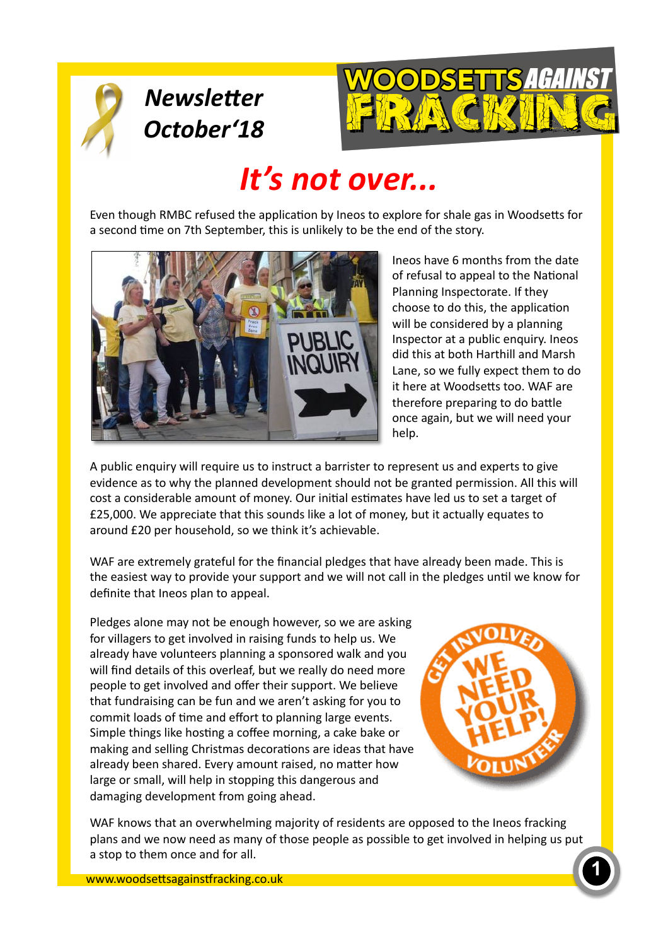

## **Newsletter** *October'18*



# *It's* not over...

Even though RMBC refused the application by Ineos to explore for shale gas in Woodsetts for a second time on 7th September, this is unlikely to be the end of the story.



Ineos have 6 months from the date of refusal to appeal to the National Planning Inspectorate. If they choose to do this, the application will be considered by a planning Inspector at a public enquiry. Ineos did this at both Harthill and Marsh Lane, so we fully expect them to do it here at Woodsetts too. WAF are therefore preparing to do battle once again, but we will need your help. 

A public enquiry will require us to instruct a barrister to represent us and experts to give evidence as to why the planned development should not be granted permission. All this will cost a considerable amount of money. Our initial estimates have led us to set a target of £25,000. We appreciate that this sounds like a lot of money, but it actually equates to around £20 per household, so we think it's achievable.

WAF are extremely grateful for the financial pledges that have already been made. This is the easiest way to provide your support and we will not call in the pledges until we know for definite that Ineos plan to appeal.

Pledges alone may not be enough however, so we are asking for villagers to get involved in raising funds to help us. We already have volunteers planning a sponsored walk and you will find details of this overleaf, but we really do need more people to get involved and offer their support. We believe that fundraising can be fun and we aren't asking for you to commit loads of time and effort to planning large events. Simple things like hosting a coffee morning, a cake bake or making and selling Christmas decorations are ideas that have already been shared. Every amount raised, no matter how large or small, will help in stopping this dangerous and damaging development from going ahead.



WAF knows that an overwhelming majority of residents are opposed to the Ineos fracking plans and we now need as many of those people as possible to get involved in helping us put a stop to them once and for all.